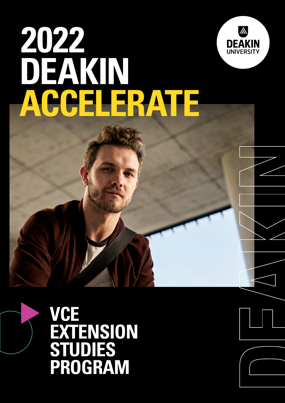

# **2022 DEAKIN ACCELERATE**

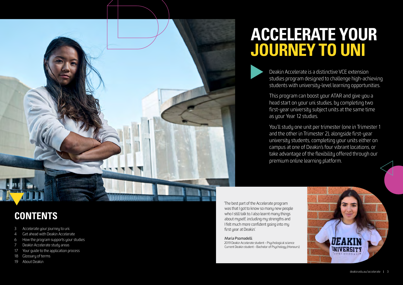## **CONTENTS**

- 3 Accelerate your journey to uni
- 4 [Get ahead with Deakin](#page-2-0) Accelerate
- 6 [How the program supports your studies](#page-3-0)
- 7 [Deakin Accelerate study areas](#page-3-0)
- 17 [Your guide to the application process](#page-8-0)
- 18 [Glossary of terms](#page-9-0)
- 19 [About Deakin](#page-9-0)



# **ACCELERATE YOUR JOURNEY TO UNI**

Deakin Accelerate is a distinctive VCE extension studies program designed to challenge high-achieving students with university-level learning opportunities.

This program can boost your ATAR and give you a head start on your uni studies, by completing two first-year university subject units at the same time as your Year 12 studies.

You'll study one unit per trimester (one in Trimester 1 and the other in Trimester 2), alongside first-year university students, completing your units either on campus at one of Deakin's four vibrant locations, or take advantage of the flexibility offered through our premium online learning platform.

'The best part of the Accelerate program was that I got to know so many new people who I still talk to. I also learnt many things about myself, including my strengths and I felt much more confident going into my first year at Deakin.'

#### Maria Psomadelli

2019 Deakin Accelerate student – Psychological science Current Deakin student – Bachelor of Psychology (Honours)

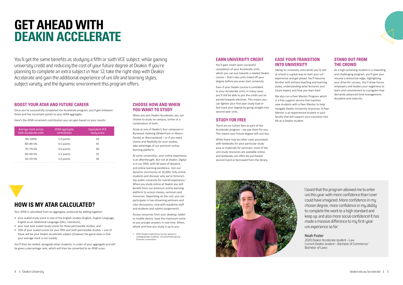# <span id="page-2-0"></span>**GET AHEAD WITH DEAKIN ACCELERATE**

You'll get the same benefits as studying a fifth or sixth VCE subject, while gaining university credit and reducing the cost of your future degree at Deakin. If you're planning to complete an extra subject in Year 12, take the right step with Deakin Accelerate and gain the additional experience of uni life and learning styles, subject variety, and the dynamic environment this program offers.

#### **BOOST YOUR ATAR AND FUTURE CAREER**

Once you've successfully completed the Accelerate program, you'll gain between three and five increment points to your ATAR aggregate.

Here's the ATAR increment contribution you can gain based on your results:

| Average mark across<br>both Accelerate units | ATAR aggregate<br>contribution | <b>Equivalent VCE</b><br>study score |
|----------------------------------------------|--------------------------------|--------------------------------------|
| 90-100%                                      | 5.0 points                     | 50                                   |
| 80-89.5%                                     | 4.5 points                     | 45                                   |
| 70-79.5%                                     | 4.0 points                     | 40                                   |
| 60-69.5%                                     | 3.5 points                     | 35                                   |
| 50-59.5%                                     | 3.0 points                     | 30                                   |

**HOW IS MY ATAR CALCULATED?**

Your ATAR is calculated from an aggregate, produced by adding together:

• your scaled study score in one of the English studies (English, English Language,

English as an Additional Language (EAL), Literature),

• your next best scaled study scores for three permissible studies, and

• 10% of your scaled scores for your fifth and sixth permissible studies – one of these will be your Deakin Accelerate subject (however the good news is that

your average mark is not scaled).



You'll then be ranked, alongside other students, in order of your aggregate and will be given a percentage rank, which will then be converted to an ATAR score.

#### **CHOOSE HOW AND WHEN YOU WANT TO STUDY**

When you join Deakin Accelerate, you can choose to study on campus, online or a combination of both.

Study at one of Deakin's four campuses in Burwood, Geelong (Waterfront or Waurn Ponds) or Warrnambool – or if you need choice and flexibility for your studies, take advantage of our premium online learning platform.

At some universities, your online experience is an afterthought. But not at Deakin. Digital is in our DNA, with 40 years of distance and online learning excellence. Join our dynamic community of 16,000+ fully online students and discover why we're Victoria's top public university for overall experience. $1$ When you study online at Deakin you will benefit from our premium online learning platform to access classes, seminars and resources. Depending on the unit, you can participate in live-streaming seminars and class discussions, chat with academic staff and students and submit assignments.

Access resources from your desktop, tablet or mobile device, have the classroom come to you and get answers in real time. When, where and how you study is up to you.

1 2020 Student Experience Survey, based on undergraduate students, UA benchmark group Victorian universities.

#### **EARN UNIVERSITY CREDIT**

You'll gain credit upon successful completion of your Accelerate units, which you can put towards a related Deakin course – that's two units ticked off your degree before you even start university.

Even if your Deakin course is unrelated to your Accelerate units, in many cases you'll still be able to put the credit you've earned towards electives. This means you can lighten your first-year study load or fast-track your degree by going straight into second-year units.

#### **STUDY FOR FREE**

There are no tuition fees as part of the Accelerate program – we pay them for you. This means your future degree will cost less.

While there may be other costs associated with textbooks for your particular study area or materials for seminars, most of the unit study resources are available online, and textbooks can often be purchased second-hand or borrowed from the library.



#### **EASE YOUR TRANSITION INTO UNIVERSITY**

Taking on university units while you're still at school is a great way to start your uni experience and get ahead. You'll become familiar with tertiary teaching and learning styles, understanding what lecturers and tutors expect and how you learn best.

We also run a Peer Mentor Program which is a free support service that matches new students with a Peer Mentor to help navigate Deakin University resources. A Peer Mentor is an experienced student in your faculty that will support your transition into life as a Deakin student.

#### **STAND OUT FROM THE CROWD**

As a high-achieving student in a rewarding and challenging program, you'll give your resume a distinctive edge, highlighting your drive for success. You'll show future employers and leaders your eagerness to learn and commitment to a program that demands advanced time management, discipline and maturity.

'I loved that the program allowed me to enter uni this year with more confidence than I ever could have imagined. More confidence in my chosen degree, more confidence in my ability to complete the work to a high standard and keep up, and also more social confidence! It has made a massive difference to my first-year uni experience so far.'

#### Noah Foster

 2020 Deakin Accelerate student – Law Current Deakin student – Bachelor of Commerce/ Bachelor of Laws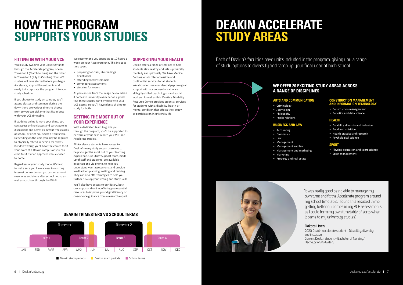# <span id="page-3-0"></span>**HOW THE PROGRAM SUPPORTS YOUR STUDIES**

#### **FITTING IN WITH YOUR VCE**

You'll study two first-year university units through the Accelerate program, one in Trimester 1 (March to June) and the other in Trimester 2 (July to October). Your VCE studies will have started before you begin Accelerate, so you'll be settled in and ready to incorporate the program into your study schedule.

If you choose to study on campus, you'll attend classes and seminars during the day – there are various times to choose from so you can pick one that fits in best with your VCE timetable.

If studying online is more your thing, you can access online classes and participate in discussions and activities in your free classes at school, or after hours when it suits you. Depending on the unit, you may be required to physically attend in person for exams. But don't worry, you'll have the choice to sit your exam at a Deakin campus or you can elect to sit it at an approved venue closer to home.

Regardless of your study mode, it's best to make sure you have access to a strong internet connection so you can access unit resources and study after school hours, as well as at school through the Wi-Fi.

We recommend you spend up to 10 hours a week on your Accelerate unit. This includes time spent:

- preparing for class, like readings or activities
- attending weekly seminars
- completing assessments
- studying for exams.

As you can see from the image below, when it comes to university exam periods, you'll find these usually don't overlap with your VCE exams, so you'll have plenty of time to study for both.

#### **GETTING THE MOST OUT OF YOUR EXPERIENCE**

With a dedicated team to guide you through the program, you'll be supported to perform at your best in both your VCE and Accelerate studies.

All Accelerate students have access to Deakin's many study support services to help you get the most out of your learning experience. Our Study Support team, made up of staff and students, are available in person and via phone, to help you understand your assessments and provide feedback on planning, writing and revising. They can also offer strategies to help you further develop your writing and study skills.

You'll also have access to our library, both on campus and online, offering you essential resources to improve your digital literacy or one-on-one guidance from a research expert.

#### **SUPPORTING YOUR HEALTH**

Deakin offers a range of services to help students stay healthy and safe – physically, mentally and spiritually. We have Medical Centres which offer accessible and confidential services for all students. We also offer free confidential psychological support with our counsellors who are all highly-skilled psychologists and social workers. As well as this, Deakin's Disability Resource Centre provides essential services for students with a disability, health or mental condition that affects their study or participation in university life.

# **DEAKIN ACCELERATE STUDY AREAS**

Each of Deakin's faculties have units included in the program, giving you a range of study options to diversify and ramp up your final year of high school.



#### **WE OFFER 20 EXCITING STUDY AREAS ACROSS A RANGE OF DISCIPLINES**

#### **ARTS AND COMMUNICATION**

- Criminology
- Journalism
- Philosophy
- Public relations

#### **BUSINESS AND LAW**

- Accounting
- Economics
- Law
- Management
- Management and law
- Management and marketing • Marketing
- Property and real estate





#### **CONSTRUCTION MANAGEMENT AND INFORMATION TECHNOLOGY**

- Construction management
- Robotics and data science

#### **HEALTH**

- Disability, diversity and inclusion
- Food and nutrition
- Health practice and research
- Psychological science

#### **SPORT**

- Physical education and sport science
- Sport management

#### **DEAKIN TRIMESTERS VS SCHOOL TERMS**



'It was really good being able to manage my own time and fit the Accelerate program around my school timetable. I found this resulted in me getting better outcomes in my VCE assessments as I could form my own timetable of sorts when it came to my university studies.'

#### Dakota Hoen

 2020 Deakin Accelerate student – Disability, diversity and inclusion Current Deakin student – Bachelor of Nursing/ Bachelor of Midwifery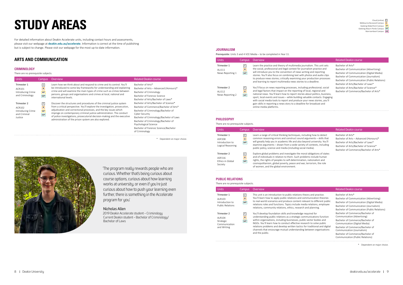For detailed information about Deakin Accelerate units, including contact hours and assessments, please visit our webpage at **[deakin.edu.au/accelerate](https://deakin.edu.au/accelerate)**. Information is correct at the time of publishing but is subject to change. Please visit our webpage for the most up-to-date information.

#### **ARTS AND COMMUNICATION**

#### **CRIMINOLOGY**

#### There are no prerequisite subjects.

| <b>Units</b>                                                          | Campus                                        | Overview                                                                                                                                                                                                                                                                                                                                                                                                                                 | Related Deakin course                                                                                                                                                                                                                                                                                           |
|-----------------------------------------------------------------------|-----------------------------------------------|------------------------------------------------------------------------------------------------------------------------------------------------------------------------------------------------------------------------------------------------------------------------------------------------------------------------------------------------------------------------------------------------------------------------------------------|-----------------------------------------------------------------------------------------------------------------------------------------------------------------------------------------------------------------------------------------------------------------------------------------------------------------|
| Trimester 1<br>ACR101<br>Introducing Crime<br>and Criminology         | $\mathsf{C}$<br>B<br>WF<br><b>WP</b>          | Learn how we think about and respond to crime and its control. You'll<br>be introduced to some key frameworks for understanding and explaining<br>crime and will examine the main types of crime such as crimes between<br>persons, groups and organisations and crimes at local, national and<br>international levels.                                                                                                                  | Bachelor of Arts*<br>Bachelor of Arts - Advanced (Honours)*<br>Bachelor of Criminology<br>Bachelor of Forensic Science<br>Bachelor of Arts/Bachelor of Laws*                                                                                                                                                    |
| Trimester 2<br>ACR102<br>Introducing Crime<br>and Criminal<br>Justice | $\overline{c}$<br>B<br><b>WF</b><br><b>WP</b> | Discover the structures and procedures of the criminal justice system<br>from a critical perspective. You'll explore the investigation, prosecution,<br>adjudication and correctional processes, and the key issues which<br>impinge on contemporary criminal justice administration. The conduct<br>of police investigations, prosecutorial decision-making and the executive<br>administration of the prison system are also explored. | Bachelor of Arts/Bachelor of Science*<br>Bachelor of Commerce/Bachelor of Arts*<br>Bachelor of Criminology/Bachelor of<br>Cyber Security<br>Bachelor of Criminology/Bachelor of Laws<br>Bachelor of Criminology/Bachelor of<br>Psychological Science<br>Bachelor of Forensic Science/Bachelor<br>of Criminology |

\* Dependent on major choice.



'The program really rewards people who are curious. Whether that's being curious about course options, curious about how learning works at university, or even if you're just curious about how to push your learning even further, there is something in the Accelerate program for you.'

#### Nicholas Allen

2019 Deakin Accelerate student – Criminology Current Deakin student – Bachelor of Criminology/ Bachelor of Laws

#### **JOURNALISM**

Prerequisite: Units 3 and 4 VCE Media – to be completed in Year 11.

| <b>Units</b>                              | Campus                             | <b>Overview</b>                                                                                                                                                                                                                                                                                                                                                                                                                                                                                | <b>Related Deakin course</b>                                                                                                                          |
|-------------------------------------------|------------------------------------|------------------------------------------------------------------------------------------------------------------------------------------------------------------------------------------------------------------------------------------------------------------------------------------------------------------------------------------------------------------------------------------------------------------------------------------------------------------------------------------------|-------------------------------------------------------------------------------------------------------------------------------------------------------|
| Trimester 1<br>ALJ111<br>News Reporting 1 | l c<br>$\overline{B}$<br><b>WP</b> | Learn the practice and theory of multimedia journalism. This unit sets<br>the social, professional and legal context for journalism practice and<br>will introduce you to the convention of news writing and reporting<br>stories. You'll also focus on combining text with photos and audio clips<br>to produce news stories; critically examining your production processes<br>and learning to report multimedia news stories to a deadline.                                                 | Bachelor of Arts*<br>Bachelor of Communicat<br>Bachelor of Communicat<br>Bachelor of Communicat<br>Bachelor of Communicat<br>Bachelor of Arts/Bachelo |
| Trimester 2<br>ALJ112<br>News Reporting 2 | c <br>B<br><b>WP</b>               | You'll focus on news reporting processes, including professional, social<br>and legal factors that impact on the reporting of local, regional and<br>national news. You'll learn how to report stories about politics, business,<br>sport, local events and issues – while building valuable contacts. Engaging<br>with social media tools to report and produce your news stories, you'll<br>gain skills in reporting a news story to a deadline for broadcast and<br>online media platforms. | Bachelor of Arts/Bachelo<br>Bachelor of Commerce/E                                                                                                    |

Bachelor of Communication (Advertising) Bachelor of Communication (Digital Media) Bachelor of Communication (Journalism) Bachelor of Communication (Public Relations) Bachelor of Arts/Bachelor of Laws\* Bachelor of Arts/Bachelor of Science\* Bachelor of Commerce/Bachelor of Arts\*

#### Related Deakin course

luding how to detect arguments – skills that will greatly you in appoint with a  $\alpha$  of contexts, including media).

ral obligations of states blems include human n, nationalism and terrorism, the role

#### **PHILOSOPHY**

There are no prerequisite subjects.

| Units                                                         | Campus                         | <b>Overview</b>                                                                                                                                                                                                                                                    |
|---------------------------------------------------------------|--------------------------------|--------------------------------------------------------------------------------------------------------------------------------------------------------------------------------------------------------------------------------------------------------------------|
| Trimester 1<br>ASP208<br>Introduction to<br>Logical Reasoning | C  <br>B<br>WP                 | Learn a range of critical thinking techniques, incl<br>common reasoning errors and construct sound a<br>will greatly help you in academic life and also bet<br>examine arguments - drawn from a wide variety<br>public policy, science and media (including social |
| Trimester 2<br>ASP216<br>Ethics in Global<br>Society          | $\mathsf{C}$<br>B<br><b>WP</b> | Explore global problems and investigate the mor<br>and of individuals in relation to them. Such prob<br>rights, the rights of peoples to self-determination<br>cosmopolitanism, global poverty, peace and war,<br>of women, and the global environment.            |

Bachelor of Arts\* Bachelor of Arts – Advanced (Honours)\* Bachelor of Arts/Bachelor of Laws\* Bachelor of Arts/Bachelor of Science\* Bachelor of Commerce/Bachelor of Arts\*

#### Related Deakin course

eory and practice. mmunication theories evant to different public dia relations, employee and planning.

equired for nmunications function sector bodies and arch to solve public or traditional and digital between organisations

#### **PUBLIC RELATIONS**

There are no prerequisite subjects.

Bachelor of Arts\* Bachelor of Communication (Advertising) Bachelor of Communication (Digital Media) Bachelor of Communication (Journalism) Bachelor of Communication (Public Relations) Bachelor of Commerce/Bachelor of Communication (Advertising) Bachelor of Commerce/Bachelor of Communication (Digital Media) Bachelor of Commerce/Bachelor of Communication (Journalism) Bachelor of Commerce/Bachelor of Communication (Public Relations)

| Units                                                                | Campus                                             | <b>Overview</b>                                                                                                                                                                                                                                                                                                                             |
|----------------------------------------------------------------------|----------------------------------------------------|---------------------------------------------------------------------------------------------------------------------------------------------------------------------------------------------------------------------------------------------------------------------------------------------------------------------------------------------|
| Trimester 1<br>AI R103<br>Introduction to<br><b>Public Relations</b> | c <br>B<br><b>WP</b>                               | This unit is an introduction to public relations the<br>You'll learn how to apply public relations and con<br>to real-world scenarios and produce content rele<br>relations roles and functions. Topics include med<br>relations, community relations, ethics, research a                                                                   |
| Trimester 2<br>AI R104<br>Strategic<br>Communication<br>and Writing  | $\lceil \mathsf{c} \rceil$<br>$\overline{B}$<br>WP | You'll develop foundation skills and knowledge re<br>understanding public relations as a strategic com<br>within organisations, including businesses, public<br>NGOs. You'll learn how to conduct effective resea<br>relations problems and develop written tactics fo<br>channels that encourage mutual understanding b<br>and the public. |

\* Dependent on major choice.

![](_page_4_Picture_22.jpeg)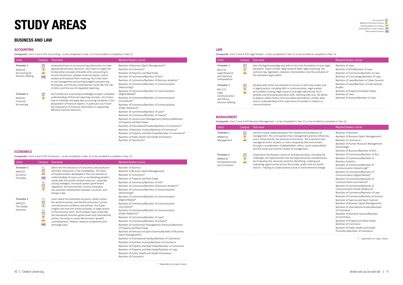#### **BUSINESS AND LAW**

#### **ACCOUNTING**

Corequisite: Units 3 and 4 VCE Accounting – to be completed in Year 11 or be enrolled to complete in Year 12.

| <b>Units</b>               | Campus                                            | Overview                                                                                                                                                                                                                                                                           | <b>Related Deakin course</b>                                                                                                           |
|----------------------------|---------------------------------------------------|------------------------------------------------------------------------------------------------------------------------------------------------------------------------------------------------------------------------------------------------------------------------------------|----------------------------------------------------------------------------------------------------------------------------------------|
| Trimester 1                | $\overline{\mathsf{c}}$                           | Understand how to use accounting information to make                                                                                                                                                                                                                               | Bachelor of Business (Sport Management)*                                                                                               |
| MAA103                     | B                                                 | appropriate business decisions. You'll learn to apply the                                                                                                                                                                                                                          | Bachelor of Commerce*                                                                                                                  |
| Accounting for             | WF                                                | fundamental concepts of double-entry accounting to                                                                                                                                                                                                                                 | Bachelor of Property and Real Estate                                                                                                   |
| Decision Making            | <b>WB</b>                                         | record transactions, prepare financial reports, and to<br>analyse and interpret their meaning. You'll also learn                                                                                                                                                                   | Bachelor of Commerce/Bachelor of Arts*                                                                                                 |
|                            |                                                   |                                                                                                                                                                                                                                                                                    | Bachelor of Commerce/Bachelor of Business Analytics*                                                                                   |
|                            | to use management accounting budgets and planning | techniques, and discuss contemporary issues like the role<br>of ethics and the use of integrated reporting.                                                                                                                                                                        | Bachelor of Commerce/Bachelor of Communication<br>(Advertising)*                                                                       |
|                            |                                                   |                                                                                                                                                                                                                                                                                    | Bachelor of Commerce/Bachelor of Communication                                                                                         |
| Trimester 2                | $\boxed{\mathsf{c}}$                              | You'll build your accounting knowledge and gain a detailed                                                                                                                                                                                                                         | (Digital Media)*                                                                                                                       |
| <b>MAA261</b><br>Financial | B                                                 | understanding of financial reporting concepts. You'll learn<br>how to evaluate and apply key accounting standards in the<br>preparation of financial reports. In particular you'll learn<br>the importance of financial information in supporting<br>effective business decisions. | Bachelor of Commerce/Bachelor of Communication<br>(Journalism)*                                                                        |
| Accounting                 |                                                   |                                                                                                                                                                                                                                                                                    | Bachelor of Commerce/Bachelor of Communication<br>(Public Relations)*                                                                  |
|                            |                                                   |                                                                                                                                                                                                                                                                                    | Bachelor of Commerce/Bachelor of Laws*                                                                                                 |
|                            |                                                   |                                                                                                                                                                                                                                                                                    | Bachelor of Commerce/Bachelor of Science*                                                                                              |
|                            |                                                   | Bachelor of Construction Management (Honours)/Bachelor<br>of Property and Real Estate                                                                                                                                                                                              |                                                                                                                                        |
|                            |                                                   | Bachelor of International Studies/Bachelor of Commerce*                                                                                                                                                                                                                            |                                                                                                                                        |
|                            |                                                   |                                                                                                                                                                                                                                                                                    | Bachelor of Nutrition Science/Bachelor of Commerce*                                                                                    |
|                            |                                                   |                                                                                                                                                                                                                                                                                    | Bachelor of Property and Real Estate/Bachelor of Commerce*<br>Bachelor of Public Health and Health Promotion/<br>Bachelor of Commerce* |

#### **ECONOMICS**

Corequisite: Units 3 and 4 VCE Economics – to be completed in Year 11 or be enrolled to complete in Year 12.

| <b>Units</b>                                           | Campus                                                                        | Overview                                                                                                                                                                                                                                                                                                                                                                                                                                                         | <b>Related Deakin course</b>                                                                                                                                                                                                                                                                                                                                                                                                                                                                                                                                                                                                                                                                                                                                                                         |
|--------------------------------------------------------|-------------------------------------------------------------------------------|------------------------------------------------------------------------------------------------------------------------------------------------------------------------------------------------------------------------------------------------------------------------------------------------------------------------------------------------------------------------------------------------------------------------------------------------------------------|------------------------------------------------------------------------------------------------------------------------------------------------------------------------------------------------------------------------------------------------------------------------------------------------------------------------------------------------------------------------------------------------------------------------------------------------------------------------------------------------------------------------------------------------------------------------------------------------------------------------------------------------------------------------------------------------------------------------------------------------------------------------------------------------------|
| Trimester 1<br><b>MAE101</b><br>Fconomic<br>Principles | $T1$ :<br>$\overline{c}$<br>WF<br><b>WB</b><br>T2:<br>$\frac{c}{b}$           | Delve into the behaviour of consumers and producers<br>and their interaction in the marketplace. The tools<br>of market analysis developed in this unit provide an<br>understanding of issues such as coordinating people's<br>needs with the world's limited resources, corporate<br>pricing strategies, monopoly power, government<br>regulation, the environment, income inequality,<br>the economic relationships between countries, and<br>foreign trade.   | <b>Bachelor of Business</b><br>Bachelor of Business (Sport Management)<br>Bachelor of Commerce*<br>Bachelor of Property and Real Estate<br>Bachelor of Commerce/Bachelor of Arts*<br>Bachelor of Commerce/Bachelor of Business Analytics*<br>Bachelor of Commerce/Bachelor of Communication<br>(Advertising)*                                                                                                                                                                                                                                                                                                                                                                                                                                                                                        |
| Trimester 2<br><b>MAE203</b><br>The Global<br>Economy  | $T1$ :<br>$\overline{c}$<br>B<br>T2:<br>$\Box$<br>B<br><b>WF</b><br><b>WB</b> | Learn about the Australian economic system within<br>the world economy, and identify and assess current<br>macroeconomic problems and policies. You'll gain<br>insights into how the whole economy, or large sectors<br>of the economy work. You'll analyse major areas like<br>the household, business government and international<br>sectors, focusing on issues like economic growth,<br>unemployment, inflation, balance of payments and<br>exchange rates. | Bachelor of Commerce/Bachelor of Communication<br>(Digital Media)*<br>Bachelor of Commerce/Bachelor of Communication<br>(Journalism)*<br>Bachelor of Commerce/Bachelor of Communication<br>(Public Relations)*<br>Bachelor of Commerce/Bachelor of Laws*<br>Bachelor of Commerce/Bachelor of Science*<br>Bachelor of Construction Management (Honours)/Bachelor<br>of Property and Real Estate<br>Bachelor of Exercise and Sport Science/Bachelor of Business<br>(Sport Management)<br>Bachelor of International Studies/Bachelor of Commerce<br>Bachelor of Nutrition Science/Bachelor of Commerce<br>Bachelor of Property and Real Estate/Bachelor of Commerce<br>Bachelor of Property and Real Estate/Bachelor of Laws<br>Bachelor of Public Health and Health Promotion/<br>Bachelor of Commerce |

\* Dependent on major choice.

#### **LAW**

Corequisite: Units 3 and 4 VCE Legal Studies – to be completed in Year 11 or be enrolled to complete in Year 12.

| <b>Units</b>                                                                      | Campus                             | Overview                                                                                                                                                                                                                                                                                                                                                                                                                                                          | Related Deakin course                                                                                                                                                                     |
|-----------------------------------------------------------------------------------|------------------------------------|-------------------------------------------------------------------------------------------------------------------------------------------------------------------------------------------------------------------------------------------------------------------------------------------------------------------------------------------------------------------------------------------------------------------------------------------------------------------|-------------------------------------------------------------------------------------------------------------------------------------------------------------------------------------------|
| Trimester 1<br>MI1110<br>Legal Research<br>and Statutory<br>Interpretation        | $\lfloor c \rfloor$<br>B<br>WF     | Gain the legal knowledge and skills to form the foundation of your legal<br>education. Topics include: legal research skills, legal reasoning, the<br>common law, legislation, statutory interpretation and the evolution of<br>the Australian legal system.                                                                                                                                                                                                      | Bachelor of Laws<br>Bachelor of Arts/Bachelor of Laws<br>Bachelor of Commerce/Bachelor of Laws<br>Bachelor of Criminology/Bachelor of Laws<br>Bachelor of Laws/Bachelor of Cyber Security |
| Trimester 2<br>MI1113<br>Legal<br>Communication<br>and Ethical<br>Decision Making | $\overline{\mathsf{c}}$<br>B<br>WF | Develop skills which are essential to success in both law studies and<br>in legal practice, including skills in communication, legal analysis<br>and problem-solving, legal research and legal referencing. You'll<br>develop oral (including advocacy) skills, listening skills (e.g. the ability<br>to deduce salient factors from provided information), written skills<br>and an understanding of the importance of context in relation to<br>communications. | Bachelor of Laws/Bachelor of International<br>Studies<br>Bachelor of Property and Real Estate/<br>Bachelor of Laws<br>Bachelor of Science/Bachelor of Laws                                |

#### **MANAGEMENT**

Corequisite: Units 3 and 4 VCE Business Management – to be completed in Year 11 or be enrolled to complete in Year 12.

| Units                                                       | <b>Campus</b>                                    | Overview                                                                                                                                                                                                                                                                                                                                                                                                         | <b>Related Deakin course</b>                                                                                                                                                                                                                                                                                                                                                                                                                                                                                                                                                                                                                                                                                                                                                                                                             |
|-------------------------------------------------------------|--------------------------------------------------|------------------------------------------------------------------------------------------------------------------------------------------------------------------------------------------------------------------------------------------------------------------------------------------------------------------------------------------------------------------------------------------------------------------|------------------------------------------------------------------------------------------------------------------------------------------------------------------------------------------------------------------------------------------------------------------------------------------------------------------------------------------------------------------------------------------------------------------------------------------------------------------------------------------------------------------------------------------------------------------------------------------------------------------------------------------------------------------------------------------------------------------------------------------------------------------------------------------------------------------------------------------|
| Trimester 1<br>MMM132<br>Management                         | $\boxed{\mathsf{c}}$<br>$\boxed{B}$<br><b>WF</b> | Harness critical understanding of the intellectual foundations of<br>management. This unit explores how management practice influences,<br>and is influenced by, the external environment. You'll examine how<br>managerial action impacts on and is shaped by the environment,<br>through a consideration of globalisation, ethics, social responsibility<br>and the social and cultural context of management. | <b>Bachelor of Business</b><br>Bachelor of Business (Sport Management)<br>Bachelor of Commerce<br>Bachelor of Human Resource Management<br>(Psychology)<br>Bachelor of Business/Bachelor of Arts                                                                                                                                                                                                                                                                                                                                                                                                                                                                                                                                                                                                                                         |
| Trimester 2<br>MMM241<br>Entrepreneurship<br>and Innovation | $\Box$<br>$\boxed{B}$<br><b>WF</b>               | Understand the dynamic nature of entrepreneurship, including the<br>challenges and opportunities that are experienced by entrepreneurs.<br>You'll develop the necessary tools for identifying, creating and<br>evaluating opportunities across the private, public and non-profit<br>sectors - helping to create positive social or environmental change.                                                        | Bachelor of Commerce/Bachelor of Arts<br>Bachelor of Commerce/Bachelor of<br><b>Business Analytics</b><br>Bachelor of Commerce/Bachelor of<br>Communication (Advertising)*<br>Bachelor of Commerce/Bachelor of<br>Communication (Digital Media)*<br>Bachelor of Commerce/Bachelor of<br>Communication (Journalism)*<br>Bachelor of Commerce/Bachelor of<br>Communication (Public Relations)*<br>Bachelor of Commerce/Bachelor of Laws<br>Bachelor of Commerce/Bachelor of Science<br>Bachelor of Exercise and Sport Science/<br>Bachelor of Business (Sport Management)<br>Bachelor of International Studies/Bachelor<br>of Commerce<br>Bachelor of Nutrition Science/Bachelor<br>of Commerce<br>Bachelor of Property and Real Estate/<br>Bachelor of Commerce<br>Bachelor of Public Health and Health<br>Promotion/Bachelor of Commerce |
|                                                             |                                                  |                                                                                                                                                                                                                                                                                                                                                                                                                  |                                                                                                                                                                                                                                                                                                                                                                                                                                                                                                                                                                                                                                                                                                                                                                                                                                          |

\* Dependent on major choice.

![](_page_5_Picture_17.jpeg)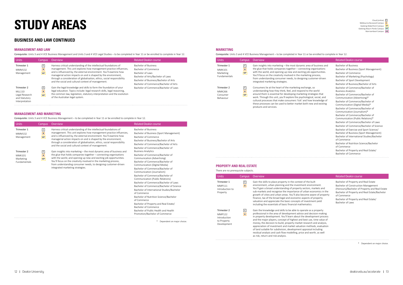#### **BUSINESS AND LAW CONTINUED**

#### **MANAGEMENT AND LAW**

Corequisite: Units 3 and 4 VCE Business Management and Units 3 and 4 VCE Legal Studies – to be completed in Year 11 or be enrolled to complete in Year 12.

| <b>Units</b>                                                               | Campus                         | <b>Overview</b>                                                                                                                                                                                                                                                                                                                                                                                                  | Related Deakin course                                                                                                                                                                   |
|----------------------------------------------------------------------------|--------------------------------|------------------------------------------------------------------------------------------------------------------------------------------------------------------------------------------------------------------------------------------------------------------------------------------------------------------------------------------------------------------------------------------------------------------|-----------------------------------------------------------------------------------------------------------------------------------------------------------------------------------------|
| Trimester 1<br>MMM132<br>Management                                        | $\mathsf{C}$<br>B<br><b>WF</b> | Harness critical understanding of the intellectual foundations of<br>management. This unit explores how management practice influences,<br>and is influenced by, the external environment. You'll examine how<br>managerial action impacts on and is shaped by the environment,<br>through a consideration of globalisation, ethics, social responsibility<br>and the social and cultural context of management. | Bachelor of Business<br>Bachelor of Commerce<br>Bachelor of Laws<br>Bachelor of Arts/Bachelor of Laws<br>Bachelor of Business/Bachelor of Arts<br>Bachelor of Commerce/Bachelor of Arts |
| Trimester 2<br>MI1110<br>Legal Research<br>and Statutory<br>Interpretation | $\mathsf{C}$<br>B<br><b>WF</b> | Gain the legal knowledge and skills to form the foundation of your<br>legal education. Topics include: legal research skills, legal reasoning,<br>the common law, legislation, statutory interpretation and the evolution<br>of the Australian legal system.                                                                                                                                                     | Bachelor of Commerce/Bachelor of Laws                                                                                                                                                   |

#### **MANAGEMENT AND MARKETING**

Corequisite: Units 3 and 4 VCE Business Management – to be completed in Year 11 or be enrolled to complete in Year 12.

#### **MARKETING**

Corequisite: Units 3 and 4 VCE Business Management – to be completed in Year 11 or be enrolled to complete in Year 12.

ble to operate as a property nt advice and decision-making about the development process est and best use, time value of money, the decision to build, property market research and analysis, appreciation of investment and market valuation methods, evaluation of land suitable for subdivision, development appraisal including residual analysis and cash flow modelling, price and worth, as well

| Units                                                     | Campus                             | Overview                                                                                                                                                                                                                                                                                                                                                                                                         | <b>Related Deakin course</b>                                                                                                                                                                                                                                                                                 |
|-----------------------------------------------------------|------------------------------------|------------------------------------------------------------------------------------------------------------------------------------------------------------------------------------------------------------------------------------------------------------------------------------------------------------------------------------------------------------------------------------------------------------------|--------------------------------------------------------------------------------------------------------------------------------------------------------------------------------------------------------------------------------------------------------------------------------------------------------------|
| Trimester 1<br><b>MMM132</b><br>Management                | $\Box$<br>$\boxed{B}$<br><b>WF</b> | Harness critical understanding of the intellectual foundations of<br>management. This unit explores how management practice influences,<br>and is influenced by, the external environment. You'll examine how<br>managerial action impacts on and is shaped by the environment,<br>through a consideration of globalisation, ethics, social responsibility<br>and the social and cultural context of management. | <b>Bachelor of Business</b><br>Bachelor of Business (Sport Management)<br>Bachelor of Commerce<br>Bachelor of Business/Bachelor of Arts<br>Bachelor of Commerce/Bachelor of Arts<br>Bachelor of Commerce/Bachelor of                                                                                         |
| Trimester 2<br><b>MMK101</b><br>Marketing<br>Fundamentals | $\Box$<br>$\boxed{B}$<br><b>WF</b> | Gain insights into marketing – the most dynamic area of business and<br>the glue that holds companies together – connecting organisations<br>with the world, and opening up new and exciting job opportunities.<br>You'll focus on the creativity involved in the marketing process,<br>from understanding consumer needs, to designing customer-driven<br>integrated marketing strategies.                      | <b>Business Analytics</b><br>Bachelor of Commerce/Bachelor of<br>Communication (Advertising)<br>Bachelor of Commerce/Bachelor of<br>Communication (Digital Media)<br>Bachelor of Commerce/Bachelor of<br>Communication (Journalism)                                                                          |
|                                                           |                                    |                                                                                                                                                                                                                                                                                                                                                                                                                  | Bachelor of Commerce/Bachelor of                                                                                                                                                                                                                                                                             |
|                                                           |                                    |                                                                                                                                                                                                                                                                                                                                                                                                                  | Communication (Public Relations)<br>Bachelor of Commerce/Bachelor of Laws<br>Bachelor of Commerce/Bachelor of Science<br>Bachelor of International Studies/Bachelor<br>of Commerce<br>Bachelor of Nutrition Science/Bachelor<br>of Commerce<br>Bachelor of Property and Real Estate/<br>Bachelor of Commerce |
|                                                           |                                    | Bachelor of Public Health and Health<br>Promotion/Bachelor of Commerce                                                                                                                                                                                                                                                                                                                                           |                                                                                                                                                                                                                                                                                                              |
|                                                           |                                    | Dependent on major choice.                                                                                                                                                                                                                                                                                                                                                                                       |                                                                                                                                                                                                                                                                                                              |

| Units                                                     | Campus                                                      | Overview                                                                                                                                                                                                                                                                                                                                                                                                                                      | <b>Related Deakin course</b>                                                                                                                                                                                                                                                                                                                                                                                                                                                                                                                                                                                                                                                                                          |
|-----------------------------------------------------------|-------------------------------------------------------------|-----------------------------------------------------------------------------------------------------------------------------------------------------------------------------------------------------------------------------------------------------------------------------------------------------------------------------------------------------------------------------------------------------------------------------------------------|-----------------------------------------------------------------------------------------------------------------------------------------------------------------------------------------------------------------------------------------------------------------------------------------------------------------------------------------------------------------------------------------------------------------------------------------------------------------------------------------------------------------------------------------------------------------------------------------------------------------------------------------------------------------------------------------------------------------------|
| Trimester 1<br><b>MMK101</b><br>Marketing<br>Fundamentals | $\begin{array}{c} \boxed{C} \\ \boxed{B} \end{array}$<br>WF | Gain insights into marketing - the most dynamic area of business and<br>the glue that holds companies together $-$ connecting organisations<br>with the world, and opening up new and exciting job opportunities.<br>You'll focus on the creativity involved in the marketing process,<br>from understanding consumer needs, to designing customer-driven<br>integrated marketing strategies.                                                 | <b>Bachelor of Business</b><br>Bachelor of Business (Sport Management)<br>Bachelor of Commerce<br>Bachelor of Marketing (Psychology)<br>Bachelor of Sport Development<br>Bachelor of Business/Bachelor of Arts                                                                                                                                                                                                                                                                                                                                                                                                                                                                                                        |
| Trimester 2<br><b>MMK266</b><br>Consumer<br>Behaviour     | $\frac{c}{B}$<br>WF                                         | Consumers lie at the heart of the marketing exchange, so<br>understanding how they think, feel, and respond to the world<br>around them is essential for developing marketing strategies that<br>work. Through this unit, you'll explore the psychological, social, and<br>cultural processes that make consumers 'tick' and how knowledge of<br>these processes can be used to better market both new and existing<br>products and services. | Bachelor of Commerce/Bachelor of<br><b>Business Analytics</b><br>Bachelor of Commerce/Bachelor of<br>Communication (Advertising)*<br>Bachelor of Commerce/Bachelor of<br>Communication (Digital Media)*<br>Bachelor of Commerce/Bachelor of<br>Communication (Journalism)*<br>Bachelor of Commerce/Bachelor of<br>Communication (Public Relations)*<br>Bachelor of Commerce/Bachelor of Laws<br>Bachelor of Commerce/Bachelor of Science<br>Bachelor of Exercise and Sport Science/<br>Bachelor of Business (Sport Management)<br>Bachelor of International Studies/Bachelor<br>of Commerce<br>Bachelor of Nutrition Science/Bachelor<br>of Commerce<br>Bachelor of Property and Real Estate/<br>Bachelor of Commerce |
|                                                           |                                                             |                                                                                                                                                                                                                                                                                                                                                                                                                                               |                                                                                                                                                                                                                                                                                                                                                                                                                                                                                                                                                                                                                                                                                                                       |

Bachelor of Property and Real Estate Bachelor of Construction Management (Honours)/Bachelor of Property and Real Estate Bachelor of Property and Real Estate/Bachelor of Commerce Bachelor of Property and Real Estate/ Bachelor of Laws

as risk, return and risk analysis.

\* Dependent on major choice.

![](_page_6_Picture_13.jpeg)

#### Related Deakin course

context of the built investment environment. operty sectors, markets and ance of urban economics in the l also become aware of property nomic aspects of property cepts of investment yield ial mathematics.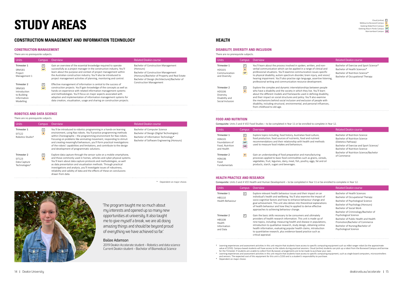#### **CONSTRUCTION MANAGEMENT AND INFORMATION TECHNOLOGY**

#### **CONSTRUCTION MANAGEMENT**

There are no prerequisite subjects.

| <b>Units</b>                                                                            | Campus         | Overview                                                                                                                                                                                                                                                                                                                                                                                                                             | Related Deakin course                                                                                                                                                                      |
|-----------------------------------------------------------------------------------------|----------------|--------------------------------------------------------------------------------------------------------------------------------------------------------------------------------------------------------------------------------------------------------------------------------------------------------------------------------------------------------------------------------------------------------------------------------------|--------------------------------------------------------------------------------------------------------------------------------------------------------------------------------------------|
| Trimester 1<br><b>SRM181</b><br>Project<br>Management 1                                 | с<br><b>WF</b> | Gain an overview of the essential knowledge required to operate<br>successfully as a project manager in the construction industry. You'll<br>learn about the purpose and context of project management within<br>the Australian construction industry. You'll also be introduced to<br>project management activities of planning, monitoring and control.                                                                            | Bachelor of Construction Management<br>(Honours)<br>Bachelor of Construction Management<br>(Honours)/Bachelor of Property and Real Estate<br>Bachelor of Design (Architecture)/Bachelor of |
| Trimester 2<br><b>SRM165</b><br>Introduction<br>to Building<br>Information<br>Modelling | с<br><b>WF</b> | Effective management of information is central to the success of<br>construction projects. You'll gain knowledge of the concepts as well as<br>hands-on experience with related information management systems<br>and methodologies. You'll focus on major aspects associated with<br>adoption and implementation of information management systems for<br>data creation, visualisation, usage and sharing on construction projects. | <b>Construction Management</b>                                                                                                                                                             |

#### **ROBOTICS AND DATA SCIENCE**

#### There are no prerequisite subjects.

| <b>Units</b>                                           | Camous           | Overview                                                                                                                                                                                                                                                                                                                                                                                                                                                                                     | <b>Related Deakin course</b>                                                                                                                                   |
|--------------------------------------------------------|------------------|----------------------------------------------------------------------------------------------------------------------------------------------------------------------------------------------------------------------------------------------------------------------------------------------------------------------------------------------------------------------------------------------------------------------------------------------------------------------------------------------|----------------------------------------------------------------------------------------------------------------------------------------------------------------|
| Trimester 1<br>SIT122<br>Robotics Studio <sup>+</sup>  | ᄓ<br>$\boxed{B}$ | You'll be introduced to robotics programming in a hands-on learning<br>environment, using Nao robots. You'll practice programming methods<br>within Choreographe – the programming environment for Nao robots.<br>Focusing on problems like animating movement, responding to stimuli<br>and creating meaningful behaviours, you'll form practical investigations<br>of the robots' capabilities and limitations, and contribute to the design<br>and development of programmatic solutions. | Bachelor of Computer Science<br>Bachelor of Design (Digital Technologies)<br>Bachelor of Information Technology*<br>Bachelor of Software Engineering (Honours) |
| Trimester 2<br>SIT123<br>Data Capture<br>Technologies^ | ᄓ<br>$\boxed{B}$ | Explore data capture through the sensor suite on a mobile smartphone,<br>and those commonly used in homes, vehicles and cyber-physical systems.<br>You'll learn about data capture protocols and methodologies, as well<br>as data presentation and visualisation methods. Through practical<br>investigations and analysis, you'll investigate issues of robustness,<br>reliability and validity of data and the effects of these on conclusions<br>drawn from data.                        |                                                                                                                                                                |

\* Dependent on major choice.

![](_page_7_Picture_9.jpeg)

'The program taught me so much about my interests and opened up so many new opportunities at university. It also taught me to give myself a break, we are all doing amazing things and should be beyond proud of everything we have achieved so far.'

#### Bailee Adamson

 2019 Deakin Accelerate student – Robotics and data science Current Deakin student – Bachelor of Biomedical Science

#### **HEALTH**

#### **DISABILITY, DIVERSITY AND INCLUSION**

There are no prerequisite subjects.

Bachelor of Exercise and Sport Science\* Bachelor of Health Sciences\* Bachelor of Nutrition Science\* Bachelor of Occupational Therapy

| Units                                                                     | Campus                     | <b>Overview</b>                                                                                                                                                                                                                                                                                                                               |
|---------------------------------------------------------------------------|----------------------------|-----------------------------------------------------------------------------------------------------------------------------------------------------------------------------------------------------------------------------------------------------------------------------------------------------------------------------------------------|
| Trimester 1<br>HDS101<br>Communication<br>and Diversity                   | c <br>$\overline{B}$<br>WF | You'll learn about the process involved in spoke<br>verbal communication which can be applied in<br>professional situations. You'll examine commun<br>to physical disability, autism spectrum disorder,<br>hearing impairment. You'll also practise sign lar<br>professional writing and communication resour                                 |
| Trimester 2<br>HDS106<br>Diversity,<br>Disability and<br>Social Inclusion | c <br>$\boxed{B}$          | Explore the complex and dynamic interrelations<br>who have a disability and the society in which t<br>about the different models and frameworks use<br>and their impact on social structures and policy<br>the mechanisms behind social inclusion and exo<br>disability, including structural, environmental, a<br>from childhood to old-age. |

#### **FOOD AND NUTRITION**

Corequisite: Units 3 and 4 VCE Food Studies – to be completed in Year 11 or be enrolled to complete in Year 12.

| <b>Units</b>                                                                    | Camous                                                | Overview                                                                                                                                                                                                                                                    | <b>Related Deakin course</b>                                                                                                                                      |
|---------------------------------------------------------------------------------|-------------------------------------------------------|-------------------------------------------------------------------------------------------------------------------------------------------------------------------------------------------------------------------------------------------------------------|-------------------------------------------------------------------------------------------------------------------------------------------------------------------|
| Trimester 1<br><b>HSN101</b><br>Foundations of<br>Food, Nutrition<br>and Health | $\mathsf{C}$<br>$\boxed{B}$<br><b>WP</b><br><b>WB</b> | Explore topics including, food history, Australian food culture,<br>food production, food sources of nutrients, food and nutrient<br>recommendations and their relationship with health and methods<br>used to measure food intakes and behaviours.         | Bachelor of Nutrition Science<br>Bachelor of Nutrition Science<br>(Dietetics Pathway)<br>Bachelor of Exercise and Sport Science/<br>Bachelor of Nutrition Science |
| Trimester 2<br>HSN106<br>Food<br><b>Fundamentals</b>                            | $\boxed{B}$                                           | Gain an understanding of food preparation and manufacturing<br>processes applied to basic food commodities such as grains, cereals,<br>vegetables, fruit, legumes, dairy, meat, fish, poultry, eggs, fat and oil<br>products, starch, sugars and beverages. | Bachelor of Nutrition Science/Bachelor<br>of Commerce                                                                                                             |

#### **HEALTH PRACTICE AND RESEARCH**

Corequisite: Units 3 and 4 VCE Health and Human Development – to be completed in Year 11 or be enrolled to complete in Year 12.

| <b>Units</b>                                                      | Campus | <b>Overview</b>                                                                                                                                                                                                                                                                                                                                                                                                                                    | <b>Related Deakin course</b>                                                                                                                                                                               |
|-------------------------------------------------------------------|--------|----------------------------------------------------------------------------------------------------------------------------------------------------------------------------------------------------------------------------------------------------------------------------------------------------------------------------------------------------------------------------------------------------------------------------------------------------|------------------------------------------------------------------------------------------------------------------------------------------------------------------------------------------------------------|
| Trimester 1<br>HBS110<br>Health Behaviour                         | c      | Explore relevant health behaviour issues and their impact on an<br>individual's health and wellbeing. You'll also examine the impact of<br>socio-cognitive factors and how to enhance behaviour change and<br>goal achievement. This unit also delves into theoretical explanations<br>of health behaviour and how they're applied to derive effective<br>approaches to achieving behaviour change.                                                | Bachelor of Health Sciences<br>Bachelor of Occupational Therapy<br>Bachelor of Psychological Science<br>Bachelor of Psychology (Honours)<br>Bachelor of Social Work<br>Bachelor of Criminology/Bachelor of |
| Trimester 2<br><b>HBS108</b><br>Health<br>Information<br>and Data | c      | Gain the basic skills necessary to be consumers and ultimately<br>providers of health research information. This unit is made up of<br>nine topics, including: measuring health and disease in populations,<br>introduction to qualitative research, study design, obtaining online<br>health information, evaluating popular health claims, introduction<br>to quantitative research, plus evidence-based practice such as<br>critical appraisal. | Psychological Science<br>Bachelor of Public Health and Health<br>Promotion/Bachelor of Commerce<br>Bachelor of Nursing/Bachelor of<br>Psychological Science                                                |

† Learning experiences and assessment activities in this unit require that students have access to specific computing equipment such as mBot ranger robot (to the approximate value of \$250). Campus-based students will have access to the robots during practical sessions. Cloud (online) students can pick up a robot from the Burwood Campus and borrow for the Trimester. If students are unable to collect from Burwood, arrangements are to be made to purchase your own.

^ Learning experiences and assessment activities in this unit require that students have access to specific computing equipment, such as single board computers, microcontrollers and sensors. The expected cost of this equipment for this unit is \$150 and is a student's responsibility to purchase. \* Dependent on major choice.

![](_page_7_Picture_27.jpeg)

#### Related Deakin course

en, written, and nona range of clinical and nication issues specific to brain injury, and vision/ nguage, assertive listening, rce development.

iships between people they live. You'll learn ed in defining disability, . You'll also examine kclusion of people with and personal influences,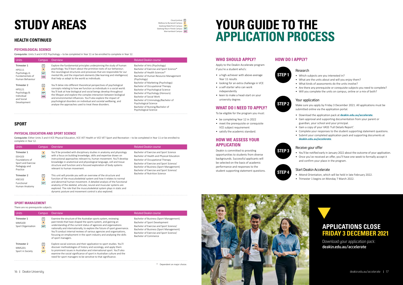#### <span id="page-8-0"></span>**HEALTH CONTINUED**

#### **PSYCHOLOGICAL SCIENCE**

Corequisite: Units 3 and 4 VCE Psychology – to be completed in Year 11 or be enrolled to complete in Year 12.

| <b>Units</b>                                                                        | Campus                                        | Overview                                                                                                                                                                                                                                                                                                                                                                                                                                                                                      | <b>Related Deakin course</b>                                                                                                                                                                                                                                                                           |
|-------------------------------------------------------------------------------------|-----------------------------------------------|-----------------------------------------------------------------------------------------------------------------------------------------------------------------------------------------------------------------------------------------------------------------------------------------------------------------------------------------------------------------------------------------------------------------------------------------------------------------------------------------------|--------------------------------------------------------------------------------------------------------------------------------------------------------------------------------------------------------------------------------------------------------------------------------------------------------|
| Trimester 1<br><b>HPS111</b><br>Psychology A:<br>Fundamentals of<br>Human Behaviour | $\overline{C}$<br>B<br><b>WP</b><br><b>WB</b> | Explore the fundamental principles underpinning the study of human<br>psychology. You'll learn about the primitive roots of our behaviour;<br>the neurological structures and processes that are responsible for our<br>mental life; and the important elements (like learning and intelligence)<br>that help us adapt to the world as individuals.                                                                                                                                           | Bachelor of Arts (Psychology)<br>Bachelor of Exercise and Sport Science*<br>Bachelor of Health Sciences*<br>Bachelor of Human Resource Management<br>(Psychology)                                                                                                                                      |
| Trimester 2<br>HPS121<br>Psychology B:<br>Individual<br>and Social<br>Development   | $\mathsf{C}$<br>B<br><b>WP</b><br><b>WB</b>   | You'll delve into different theoretical perspectives of psychological<br>concepts relating to how we function as individuals in a social world.<br>You'll look at how biological and social beings develop throughout<br>the lifespan and explore the complex interaction between biological<br>and environmental influences. You'll also explore the impact of<br>psychological disorders on individual and societal wellbeing, and<br>analyse the approaches used to treat these disorders. | Bachelor of Marketing (Psychology)<br>Bachelor of Occupational Therapy<br>Bachelor of Psychological Science<br>Bachelor of Psychology (Honours)<br>Bachelor of Social Work<br>Bachelor of Criminology/Bachelor of<br>Psychological Science<br>Bachelor of Nursing/Bachelor of<br>Psychological Science |

#### **SPORT**

#### **PHYSICAL EDUCATION AND SPORT SCIENCE**

Corequisite: Either Units 3 and 4 VCE Physical Education, VCE VET Health or VCE VET Sport and Recreation – to be completed in Year 11 or be enrolled to complete in Year 12.

| <b>Units</b>                                                                              | Campus                                    | <b>Overview</b>                                                                                                                                                                                                                                                                                                                                                                                                          | Related Deakin course                                                                                                                                                                                                                                                                     |
|-------------------------------------------------------------------------------------------|-------------------------------------------|--------------------------------------------------------------------------------------------------------------------------------------------------------------------------------------------------------------------------------------------------------------------------------------------------------------------------------------------------------------------------------------------------------------------------|-------------------------------------------------------------------------------------------------------------------------------------------------------------------------------------------------------------------------------------------------------------------------------------------|
| Trimester 1<br>FFH103<br>Foundations of<br>Sport and Exercise<br>Pedagogy and<br>Practice | B<br><b>WP</b>                            | You'll be provided with disciplinary studies in anatomy and physiology<br>with a focus on building knowledge, skills and expertise drawn on<br>instructional approaches relevant to, human movement. You'll develop<br>knowledge in anatomical and physiological language, cell and tissue<br>structure and function and a focused exploration of body systems<br>relevant to human movement.                            | Bachelor of Exercise and Sport Science<br>Bachelor of Health and Physical Education<br>Bachelor of Occupational Therapy<br>Bachelor of Exercise and Sport Science/<br>Bachelor of Business (Sport Management)<br>Bachelor of Exercise and Sport Science/<br>Bachelor of Nutrition Science |
| Trimester 2<br><b>HSE102</b><br>Functional<br>Human Anatomy                               | $\overline{\mathsf{c}}$<br>B<br><b>WP</b> | This unit will provide you with an overview of the structure and<br>function of the musculoskeletal system and how it relates to normal<br>and abnormal human movement. A detailed analysis of the functional<br>anatomy of the skeletal, articular, neural and muscular systems are<br>explored. The role that the musculoskeletal system plays in static and<br>dynamic posture and movement control is also explored. |                                                                                                                                                                                                                                                                                           |

#### **SPORT MANAGEMENT**

There are no prerequisite subjects.

Melbourne Burwood Campus **B** Geelong Waterfront Campus **WF** Geelong Waurn Ponds Campus **WP** Warrnambool Campus **WB** 

![](_page_8_Picture_44.jpeg)

| <b>Units</b>                                       | Campus                                  | Overview                                                                                                                                                                                                                                                                                                                                                                                                                                                       | Related Deakin course                                                                                                                                                                                                             |
|----------------------------------------------------|-----------------------------------------|----------------------------------------------------------------------------------------------------------------------------------------------------------------------------------------------------------------------------------------------------------------------------------------------------------------------------------------------------------------------------------------------------------------------------------------------------------------|-----------------------------------------------------------------------------------------------------------------------------------------------------------------------------------------------------------------------------------|
| Trimester 1<br><b>MMS100</b><br>Sport Organisation | $\lfloor$ C $\rfloor$<br>B<br><b>WP</b> | Examine the structure of the Australian sports system, reviewing<br>past trends that have shaped the sports system, and gaining an<br>understanding of the current status of agencies and organisations<br>nationally and internationally, to explore the future of sport governance.<br>You'll conduct internal reviews of various agencies and organisations,<br>focusing on employment in the sport industry and analysing the skills<br>of sport managers. | Bachelor of Business (Sport Management)<br>Bachelor of Sport Development<br>Bachelor of Exercise and Sport Science/<br>Bachelor of Business (Sport Management)<br>Bachelor of Exercise and Sport Science/<br>Bachelor of Commerce |
| Trimester 2<br><b>MMS201</b><br>Sport in Society   | $\lfloor$ c $\rfloor$<br>B<br><b>WF</b> | Explore social sciences and their application to sport studies. You'll<br>discover methodologies of history and sociology, and apply them<br>to prominent issues in Australian and international sport. You'll also<br>examine the social significance of sport in Australian culture and the<br>need for sport managers to be sensitive to that significance.                                                                                                 |                                                                                                                                                                                                                                   |

\* Dependent on major choice.

# **YOUR GUIDE TO THE APPLICATION PROCESS**

#### **WHO SHOULD APPLY?**

Apply to the Deakin Accelerate program if you're a student who's:

- a high-achiever with above-average Year 11 results
- looking for an extra challenge in VCE
- a self-starter who can work
- independently
- keen to make a head-start on your university degree.

#### **WHAT DO I NEED TO APPLY?**

To be eligible for the program you must:

- be completing Year 12 in 2022
- meet the prerequisite or corequisite VCE subject requirement
- satisfy the academic standard.

#### **HOW WE ASSESS YOUR APPLICATION**

Deakin is committed to providing opportunities to students from diverse backgrounds. Successful applicants will be selected on the basis of academic performance and responses to the student supporting statement questions.

#### **HOW DO I APPLY?**

#### **STEP 1** Research

# **STEP 2** Your application

- Which subjects are you interested in?
- What are the units about and will you enjoy them?
- What kinds of assessments do the units involve?
- Are there any prerequisite or corequisite subjects you need to complete?
- Will you complete the units on campus, online or a mix of both?

- Make sure you apply by Friday 3 December 2021. All applications must be submitted online via the application portal.
- Download the application pack at **[deakin.edu.au/accelerate](https://deakin.edu.au/accelerate)**.
- Gain approval and supporting documentation from your parent or guardian, your school and your principal.
- Gain a copy of your VASS 'Full Details Report'.

- 
- 
- Complete your responses to the student supporting statement questions. • Submit your completed application pack and supporting documents at **[deakin.edu.au/accelerate](https://deakin.edu.au/accelerate)**.

![](_page_8_Picture_49.jpeg)

- You'll be notified early in January 2022 about the outcome of your application. • Once you've received an offer, you'll have one week to formally accept it and confirm your place in the program.
- 

![](_page_8_Picture_37.jpeg)

### **STEP 4** Start Deakin Accelerate

# 16 Deakin University [deakin.edu.au/accelerate](https://deakin.edu.au/accelerate) 1 17 مليون المستخدم المستخدم المستخدم المستخدم المستخدم المستخدم المستخدم المستخدم المستخدم المستخدم المستخدم المستخدم المستخدم المستخدم المستخدم المستخدم المستخدم المستخدم الم

• Attend Orientation, which will be held in late February 2022. • Trimester 1 begins on Monday 7 March 2022.

![](_page_8_Picture_65.jpeg)

Cloud (online) **C**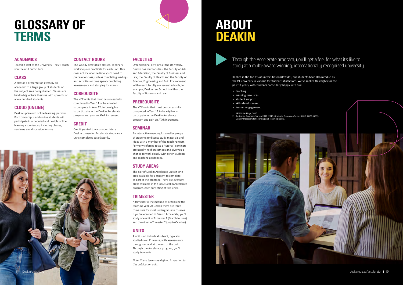# <span id="page-9-0"></span>**GLOSSARY OF TERMS**

#### **ACADEMICS**

Teaching staff of the University. They'll teach you the unit curriculum.

#### **CLASS**

A class is a presentation given by an academic to a large group of students on the subject area being studied. Classes are held in big lecture theatres with upwards of a few hundred students.

#### **CLOUD (ONLINE)**

Deakin's premium online learning platform. Both on-campus and online students will participate in scheduled and flexible online learning experiences, including classes, seminars and discussion forums.

#### **CONTACT HOURS**

The weekly timetabled classes, seminars, workshops or practicals for each unit. This does not include the time you'll need to prepare for class, such as completing readings and activities or time spent completing assessments and studying for exams.

#### **COREQUISITE**

The VCE units that must be successfully completed in Year 11 or be enrolled to complete in Year 12, to be eligible to participate in the Deakin Accelerate program and gain an ATAR increment.

#### **CREDIT**

Credit granted towards your future Deakin course for Accelerate study area units completed satisfactorily.

# 18 I Deakin University [deakin.edu.au/accelerate](https://deakin.edu.au/accelerate) 1 19 Ali San Deakin.edu.au/accelerate 1 19 Ali San Deakin.edu.au/accelerate 1 19 Ali San Deakin.edu.au/accelerate 1 19 Ali San Deakin.edu.au/accelerate 1 19 Ali San Deakin.ed

#### **FACULTIES**

Organisational divisions at the University. Deakin has four faculties: the Faculty of Arts and Education, the Faculty of Business and Law, the Faculty of Health and the Faculty of Science, Engineering and Built Environment. Within each faculty are several schools; for example, Deakin Law School is within the Faculty of Business and Law.

#### **PREREQUISITE**

Ranked in the top 1% of universities worldwide<sup>1</sup>, our students have also rated us as the #1 university in Victoria for student satisfaction<sup>2</sup>. We've ranked this highly for the past 11 years, with students particularly happy with our:

The VCE units that must be successfully completed in Year 11 to be eligible to participate in the Deakin Accelerate program and gain an ATAR increment.

#### **SEMINAR**

An interactive meeting for smaller groups of students to discuss study materials and ideas with a member of the teaching team. Formerly referred to as a 'tutorial', seminars are usually held on campus and give you a chance to work closely with other students and teaching academics.

#### **STUDY AREAS**

The pair of Deakin Accelerate units in one area available for a student to complete as part of the program. There are 20 study areas available in the 2022 Deakin Accelerate program, each consisting of two units.

#### **TRIMESTER**

A trimester is the method of organising the teaching year. At Deakin there are three trimesters for most undergraduate courses. If you're enrolled in Deakin Accelerate, you'll study one unit in Trimester 1 (March to June) and the other in Trimester 2 (July to October).

#### **UNITS**

A unit is an individual subject, typically studied over 11 weeks, with assessments throughout and at the end of the unit. Through the Accelerate program, you'll study two units.

*Note: These terms are defined in relation to this publication only.* 

# **ABOUT DEAKIN**

Through the Accelerate program, you'll get a feel for what it's like to study at a multi-award winning, internationally recognised university.

- teaching
- learning resources
- 
- 
- 
- 

![](_page_9_Picture_36.jpeg)